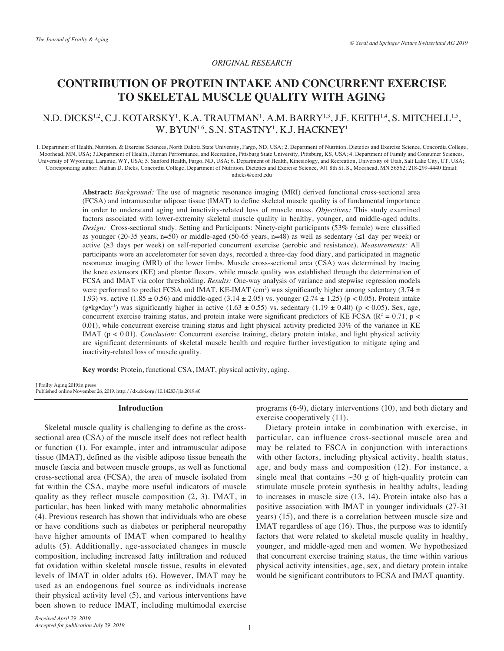## *ORIGINAL RESEARCH*

# **CONTRIBUTION OF PROTEIN INTAKE AND CONCURRENT EXERCISE TO SKELETAL MUSCLE QUALITY WITH AGING**

## N.D. DICKS<sup>1,2</sup>, C.J. KOTARSKY<sup>1</sup>, K.A. TRAUTMAN<sup>1</sup>, A.M. BARRY<sup>1,3</sup>, J.F. KEITH<sup>1,4</sup>, S. MITCHELL<sup>1,5</sup>, W. BYUN1,6, S.N. STASTNY1 , K.J. HACKNEY1

1. Department of Health, Nutrition, & Exercise Sciences, North Dakota State University, Fargo, ND, USA; 2. Department of Nutrition, Dietetics and Exercise Science, Concordia College, Moorhead, MN, USA; 3.Department of Health, Human Performance, and Recreation, Pittsburg State University, Pittsburg, KS, USA; 4. Department of Family and Consumer Sciences, University of Wyoming, Laramie, WY, USA; 5. Sanford Health, Fargo, ND, USA; 6. Department of Health, Kinesiology, and Recreation, University of Utah, Salt Lake City, UT, USA;. Corresponding author: Nathan D. Dicks, Concordia College, Department of Nutrition, Dietetics and Exercise Science, 901 8th St. S., Moorhead, MN 56562; 218-299-4440 Email: ndicks@cord.edu

> **Abstract:** *Background:* The use of magnetic resonance imaging (MRI) derived functional cross-sectional area (FCSA) and intramuscular adipose tissue (IMAT) to define skeletal muscle quality is of fundamental importance in order to understand aging and inactivity-related loss of muscle mass. *Objectives:* This study examined factors associated with lower-extremity skeletal muscle quality in healthy, younger, and middle-aged adults. *Design:* Cross-sectional study. Setting and Participants: Ninety-eight participants (53% female) were classified as younger (20-35 years, n=50) or middle-aged (50-65 years, n=48) as well as sedentary ( $\leq$ 1 day per week) or active (≥3 days per week) on self-reported concurrent exercise (aerobic and resistance). *Measurements:* All participants wore an accelerometer for seven days, recorded a three-day food diary, and participated in magnetic resonance imaging (MRI) of the lower limbs. Muscle cross-sectional area (CSA) was determined by tracing the knee extensors (KE) and plantar flexors, while muscle quality was established through the determination of FCSA and IMAT via color thresholding. *Results:* One-way analysis of variance and stepwise regression models were performed to predict FCSA and IMAT. KE-IMAT (cm<sup>2</sup>) was significantly higher among sedentary (3.74  $\pm$ 1.93) vs. active (1.85  $\pm$  0.56) and middle-aged (3.14  $\pm$  2.05) vs. younger (2.74  $\pm$  1.25) (p < 0.05). Protein intake (g•kg•day<sup>-1</sup>) was significantly higher in active (1.63  $\pm$  0.55) vs. sedentary (1.19  $\pm$  0.40) (p < 0.05). Sex, age, concurrent exercise training status, and protein intake were significant predictors of KE FCSA ( $\mathbb{R}^2 = 0.71$ , p < 0.01), while concurrent exercise training status and light physical activity predicted 33% of the variance in KE IMAT (p < 0.01). *Conclusion:* Concurrent exercise training, dietary protein intake, and light physical activity are significant determinants of skeletal muscle health and require further investigation to mitigate aging and inactivity-related loss of muscle quality.

**Key words:** Protein, functional CSA, IMAT, physical activity, aging.

J Frailty Aging 2019;in press Published online November 26, 2019, http://dx.doi.org/10.14283/jfa.2019.40

#### **Introduction**

Skeletal muscle quality is challenging to define as the crosssectional area (CSA) of the muscle itself does not reflect health or function (1). For example, inter and intramuscular adipose tissue (IMAT), defined as the visible adipose tissue beneath the muscle fascia and between muscle groups, as well as functional cross-sectional area (FCSA), the area of muscle isolated from fat within the CSA, maybe more useful indicators of muscle quality as they reflect muscle composition (2, 3). IMAT, in particular, has been linked with many metabolic abnormalities (4). Previous research has shown that individuals who are obese or have conditions such as diabetes or peripheral neuropathy have higher amounts of IMAT when compared to healthy adults (5). Additionally, age-associated changes in muscle composition, including increased fatty infiltration and reduced fat oxidation within skeletal muscle tissue, results in elevated levels of IMAT in older adults (6). However, IMAT may be used as an endogenous fuel source as individuals increase their physical activity level (5), and various interventions have been shown to reduce IMAT, including multimodal exercise programs (6-9), dietary interventions (10), and both dietary and exercise cooperatively (11).

Dietary protein intake in combination with exercise, in particular, can influence cross-sectional muscle area and may be related to FSCA in conjunction with interactions with other factors, including physical activity, health status, age, and body mass and composition (12). For instance, a single meal that contains  $\sim 30$  g of high-quality protein can stimulate muscle protein synthesis in healthy adults, leading to increases in muscle size (13, 14). Protein intake also has a positive association with IMAT in younger individuals (27-31 years) (15), and there is a correlation between muscle size and IMAT regardless of age (16). Thus, the purpose was to identify factors that were related to skeletal muscle quality in healthy, younger, and middle-aged men and women. We hypothesized that concurrent exercise training status, the time within various physical activity intensities, age, sex, and dietary protein intake would be significant contributors to FCSA and IMAT quantity.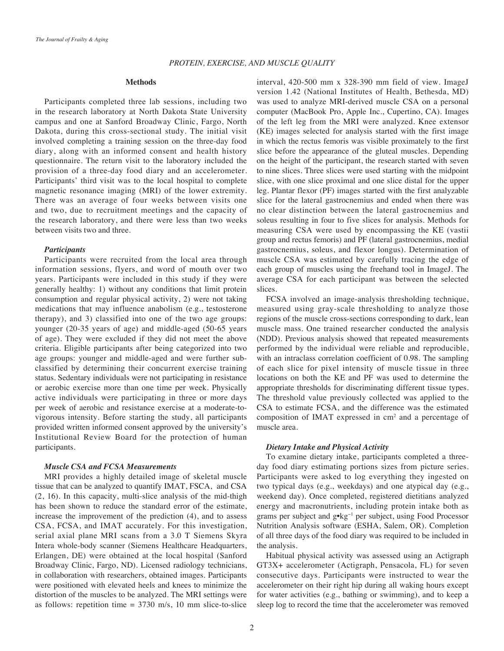## **Methods**

Participants completed three lab sessions, including two in the research laboratory at North Dakota State University campus and one at Sanford Broadway Clinic, Fargo, North Dakota, during this cross-sectional study. The initial visit involved completing a training session on the three-day food diary, along with an informed consent and health history questionnaire. The return visit to the laboratory included the provision of a three-day food diary and an accelerometer. Participants' third visit was to the local hospital to complete magnetic resonance imaging (MRI) of the lower extremity. There was an average of four weeks between visits one and two, due to recruitment meetings and the capacity of the research laboratory, and there were less than two weeks between visits two and three.

## *Participants*

Participants were recruited from the local area through information sessions, flyers, and word of mouth over two years. Participants were included in this study if they were generally healthy: 1) without any conditions that limit protein consumption and regular physical activity, 2) were not taking medications that may influence anabolism (e.g., testosterone therapy), and 3) classified into one of the two age groups: younger (20-35 years of age) and middle-aged (50-65 years of age). They were excluded if they did not meet the above criteria. Eligible participants after being categorized into two age groups: younger and middle-aged and were further subclassified by determining their concurrent exercise training status. Sedentary individuals were not participating in resistance or aerobic exercise more than one time per week. Physically active individuals were participating in three or more days per week of aerobic and resistance exercise at a moderate-tovigorous intensity. Before starting the study, all participants provided written informed consent approved by the university's Institutional Review Board for the protection of human participants.

## *Muscle CSA and FCSA Measurements*

MRI provides a highly detailed image of skeletal muscle tissue that can be analyzed to quantify IMAT, FSCA, and CSA (2, 16). In this capacity, multi-slice analysis of the mid-thigh has been shown to reduce the standard error of the estimate, increase the improvement of the prediction (4), and to assess CSA, FCSA, and IMAT accurately. For this investigation, serial axial plane MRI scans from a 3.0 T Siemens Skyra Intera whole-body scanner (Siemens Healthcare Headquarters, Erlangen, DE) were obtained at the local hospital (Sanford Broadway Clinic, Fargo, ND). Licensed radiology technicians, in collaboration with researchers, obtained images. Participants were positioned with elevated heels and knees to minimize the distortion of the muscles to be analyzed. The MRI settings were as follows: repetition time  $= 3730$  m/s, 10 mm slice-to-slice

interval, 420-500 mm x 328-390 mm field of view. ImageJ version 1.42 (National Institutes of Health, Bethesda, MD) was used to analyze MRI-derived muscle CSA on a personal computer (MacBook Pro, Apple Inc., Cupertino, CA). Images of the left leg from the MRI were analyzed. Knee extensor (KE) images selected for analysis started with the first image in which the rectus femoris was visible proximately to the first slice before the appearance of the gluteal muscles. Depending on the height of the participant, the research started with seven to nine slices. Three slices were used starting with the midpoint slice, with one slice proximal and one slice distal for the upper leg. Plantar flexor (PF) images started with the first analyzable slice for the lateral gastrocnemius and ended when there was no clear distinction between the lateral gastrocnemius and soleus resulting in four to five slices for analysis. Methods for measuring CSA were used by encompassing the KE (vastii group and rectus femoris) and PF (lateral gastrocnemius, medial gastrocnemius, soleus, and flexor longus). Determination of muscle CSA was estimated by carefully tracing the edge of each group of muscles using the freehand tool in ImageJ. The average CSA for each participant was between the selected slices.

FCSA involved an image-analysis thresholding technique, measured using gray-scale thresholding to analyze those regions of the muscle cross-sections corresponding to dark, lean muscle mass. One trained researcher conducted the analysis (NDD). Previous analysis showed that repeated measurements performed by the individual were reliable and reproducible, with an intraclass correlation coefficient of 0.98. The sampling of each slice for pixel intensity of muscle tissue in three locations on both the KE and PF was used to determine the appropriate thresholds for discriminating different tissue types. The threshold value previously collected was applied to the CSA to estimate FCSA, and the difference was the estimated composition of IMAT expressed in  $cm<sup>2</sup>$  and a percentage of muscle area.

## *Dietary Intake and Physical Activity*

To examine dietary intake, participants completed a threeday food diary estimating portions sizes from picture series. Participants were asked to log everything they ingested on two typical days (e.g., weekdays) and one atypical day (e.g., weekend day). Once completed, registered dietitians analyzed energy and macronutrients, including protein intake both as grams per subject and g•kg−1 per subject, using Food Processor Nutrition Analysis software (ESHA, Salem, OR). Completion of all three days of the food diary was required to be included in the analysis.

Habitual physical activity was assessed using an Actigraph GT3X+ accelerometer (Actigraph, Pensacola, FL) for seven consecutive days. Participants were instructed to wear the accelerometer on their right hip during all waking hours except for water activities (e.g., bathing or swimming), and to keep a sleep log to record the time that the accelerometer was removed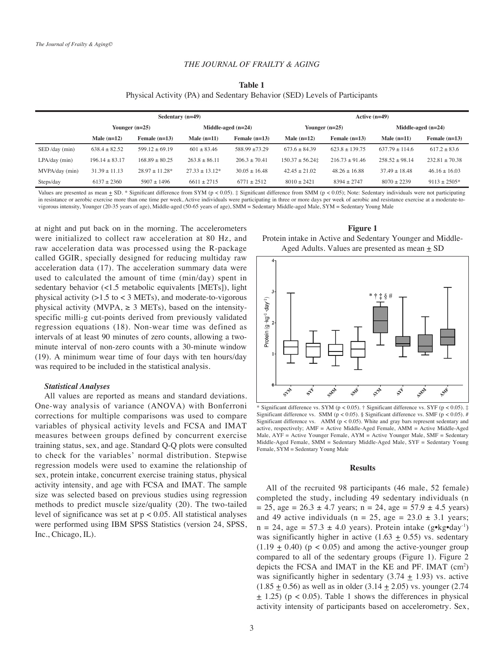#### *THE JOURNAL OF FRAILTY & AGING*

| Table 1                                                                    |  |
|----------------------------------------------------------------------------|--|
| Physical Activity (PA) and Sedentary Behavior (SED) Levels of Participants |  |

| Sedentary $(n=49)$ |                    |                  |                   | Active $(n=49)$      |                          |                  |                  |                   |                      |  |
|--------------------|--------------------|------------------|-------------------|----------------------|--------------------------|------------------|------------------|-------------------|----------------------|--|
|                    |                    | Younger $(n=25)$ |                   | Middle-aged $(n=24)$ | Younger $(n=25)$         |                  |                  |                   | Middle-aged $(n=24)$ |  |
|                    | Male $(n=12)$      | Female $(n=13)$  | Male $(n=11)$     | Female $(n=13)$      | Male $(n=12)$            | Female $(n=13)$  | Male $(n=11)$    | Female $(n=13)$   |                      |  |
| SED /day (min)     | $638.4 + 82.52$    | $599.12 + 69.19$ | $601 + 83.46$     | $588.99 + 73.29$     | $673.6 + 84.39$          | $623.8 + 139.75$ | $637.79 + 114.6$ | $617.2 + 83.6$    |                      |  |
| $LPA/day$ (min)    | $196.14 \pm 83.17$ | $168.89 + 80.25$ | $263.8 \pm 86.11$ | $206.3 + 70.41$      | $150.37 \pm 56.24 \pm 1$ | $216.73 + 91.46$ | $258.52 + 98.14$ | $232.81 + 70.38$  |                      |  |
| MVPA/day (min)     | $31.39 \pm 11.13$  | $28.97 + 11.28*$ | $27.33 + 13.12*$  | $30.05 + 16.48$      | $42.45 \pm 21.02$        | $48.26 + 16.88$  | $37.49 + 18.48$  | $46.16 \pm 16.03$ |                      |  |
| Steps/day          | $6137 + 2360$      | $5907 + 1496$    | $6611 + 2715$     | $6771 + 2512$        | $8010 + 2421$            | $8394 + 2747$    | $8070 + 2239$    | $9113 + 2505*$    |                      |  |

Values are presented as mean  $\pm$  SD. \* Significant difference from SYM (p < 0.05).  $\pm$  Significant difference from SMM (p < 0.05); Note: Sedentary individuals were not participating in resistance or aerobic exercise more than one time per week, Active individuals were participating in three or more days per week of aerobic and resistance exercise at a moderate-tovigorous intensity, Younger (20-35 years of age), Middle-aged (50-65 years of age), SMM = Sedentary Middle-aged Male, SYM = Sedentary Young Male

at night and put back on in the morning. The accelerometers were initialized to collect raw acceleration at 80 Hz, and raw acceleration data was processed using the R-package called GGIR, specially designed for reducing multiday raw acceleration data (17). The acceleration summary data were used to calculated the amount of time (min/day) spent in sedentary behavior (<1.5 metabolic equivalents [METs]), light physical activity  $(>1.5$  to  $<$  3 METs), and moderate-to-vigorous physical activity (MVPA,  $\geq$  3 METs), based on the intensityspecific milli-g cut-points derived from previously validated regression equations (18). Non-wear time was defined as intervals of at least 90 minutes of zero counts, allowing a twominute interval of non-zero counts with a 30-minute window (19). A minimum wear time of four days with ten hours/day was required to be included in the statistical analysis.

#### *Statistical Analyses*

All values are reported as means and standard deviations. One-way analysis of variance (ANOVA) with Bonferroni corrections for multiple comparisons was used to compare variables of physical activity levels and FCSA and IMAT measures between groups defined by concurrent exercise training status, sex, and age. Standard Q-Q plots were consulted to check for the variables' normal distribution. Stepwise regression models were used to examine the relationship of sex, protein intake, concurrent exercise training status, physical activity intensity, and age with FCSA and IMAT. The sample size was selected based on previous studies using regression methods to predict muscle size/quality (20). The two-tailed level of significance was set at  $p < 0.05$ . All statistical analyses were performed using IBM SPSS Statistics (version 24, SPSS, Inc., Chicago, IL).

**Figure 1** Protein intake in Active and Sedentary Younger and Middle-Aged Adults. Values are presented as mean  $\pm$  SD



Significant difference vs. SYM (p < 0.05). † Significant difference vs. SYF (p < 0.05). ‡ Significant difference vs. SMM ( $p < 0.05$ ). § Significant difference vs. SMF ( $p < 0.05$ ). # Significant difference vs. AMM ( $p < 0.05$ ). White and gray bars represent sedentary and active, respectively; AMF = Active Middle-Aged Female, AMM = Active Middle-Aged Male, AYF = Active Younger Female, AYM = Active Younger Male, SMF = Sedentary Middle-Aged Female, SMM = Sedentary Middle-Aged Male, SYF = Sedentary Young Female, SYM = Sedentary Young Male

#### **Results**

All of the recruited 98 participants (46 male, 52 female) completed the study, including 49 sedentary individuals (n  $= 25$ , age  $= 26.3 \pm 4.7$  years; n  $= 24$ , age  $= 57.9 \pm 4.5$  years) and 49 active individuals ( $n = 25$ , age = 23.0  $\pm$  3.1 years;  $n = 24$ , age = 57.3  $\pm$  4.0 years). Protein intake (g•kg•day<sup>-1</sup>) was significantly higher in active  $(1.63 \pm 0.55)$  vs. sedentary  $(1.19 \pm 0.40)$  (p < 0.05) and among the active-younger group compared to all of the sedentary groups (Figure 1). Figure 2 depicts the FCSA and IMAT in the KE and PF. IMAT (cm2 ) was significantly higher in sedentary  $(3.74 \pm 1.93)$  vs. active  $(1.85 \pm 0.56)$  as well as in older  $(3.14 \pm 2.05)$  vs. younger  $(2.74$  $\pm$  1.25) (p < 0.05). Table 1 shows the differences in physical activity intensity of participants based on accelerometry. Sex,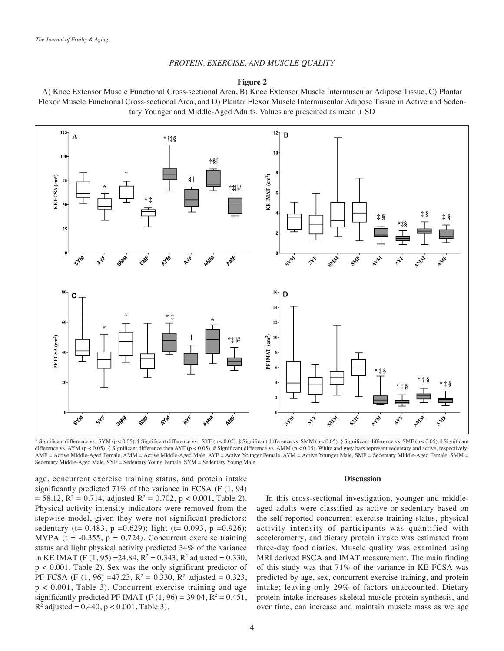## *PROTEIN, EXERCISE, AND MUSCLE QUALITY*

## **Figure 2**

A) Knee Extensor Muscle Functional Cross-sectional Area, B) Knee Extensor Muscle Intermuscular Adipose Tissue, C) Plantar Flexor Muscle Functional Cross-sectional Area, and D) Plantar Flexor Muscle Intermuscular Adipose Tissue in Active and Sedentary Younger and Middle-Aged Adults. Values are presented as mean  $\pm$  SD



\* Significant difference vs. SYM (p < 0.05). † Significant difference vs. SYF (p < 0.05). ‡ Significant difference vs. SMM (p < 0.05). § Significant difference vs. SMF (p < 0.05). § Significant difference vs. AYM (p < 0.05). { Significant difference then AYF (p < 0.05). # Significant difference vs. AMM (p < 0.05). White and grey bars represent sedentary and active, respectively; AMF = Active Middle-Aged Female, AMM = Active Middle-Aged Male, AYF = Active Younger Female, AYM = Active Younger Male, SMF = Sedentary Middle-Aged Female, SMM = Sedentary Middle-Aged Male, SYF = Sedentary Young Female, SYM = Sedentary Young Male

age, concurrent exercise training status, and protein intake significantly predicted 71% of the variance in FCSA (F (1, 94)  $= 58.12$ ,  $R^2 = 0.714$ , adjusted  $R^2 = 0.702$ ,  $p < 0.001$ , Table 2). Physical activity intensity indicators were removed from the stepwise model, given they were not significant predictors: sedentary (t=-0.483, p =0.629); light (t=-0.093, p =0.926); MVPA ( $t = -0.355$ ,  $p = 0.724$ ). Concurrent exercise training status and light physical activity predicted 34% of the variance in KE IMAT (F  $(1, 95) = 24.84$ , R<sup>2</sup> = 0.343, R<sup>2</sup> adjusted = 0.330, p < 0.001, Table 2). Sex was the only significant predictor of PF FCSA (F  $(1, 96) = 47.23$ , R<sup>2</sup> = 0.330, R<sup>2</sup> adjusted = 0.323, p < 0.001, Table 3). Concurrent exercise training and age significantly predicted PF IMAT (F  $(1, 96) = 39.04$ ,  $R^2 = 0.451$ ,  $R^2$  adjusted = 0.440,  $p < 0.001$ , Table 3).

#### **Discussion**

In this cross-sectional investigation, younger and middleaged adults were classified as active or sedentary based on the self-reported concurrent exercise training status, physical activity intensity of participants was quantified with accelerometry, and dietary protein intake was estimated from three-day food diaries. Muscle quality was examined using MRI derived FSCA and IMAT measurement. The main finding of this study was that 71% of the variance in KE FCSA was predicted by age, sex, concurrent exercise training, and protein intake; leaving only 29% of factors unaccounted. Dietary protein intake increases skeletal muscle protein synthesis, and over time, can increase and maintain muscle mass as we age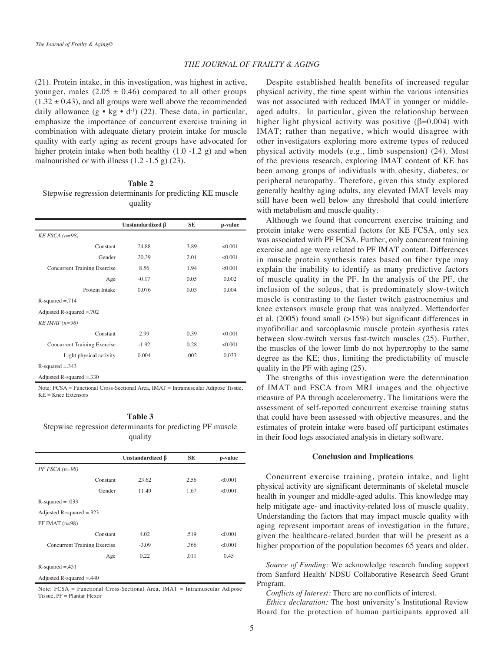#### *THE JOURNAL OF FRAILTY & AGING*

(21). Protein intake, in this investigation, was highest in active, younger, males  $(2.05 \pm 0.46)$  compared to all other groups  $(1.32 \pm 0.43)$ , and all groups were well above the recommended daily allowance  $(g \cdot kg \cdot d^{-1})$  (22). These data, in particular, emphasize the importance of concurrent exercise training in combination with adequate dietary protein intake for muscle quality with early aging as recent groups have advocated for higher protein intake when both healthy  $(1.0 -1.2)$  g) and when malnourished or with illness  $(1.2 - 1.5)$  g $(23)$ .

## **Table 2**

Stepwise regression determinants for predicting KE muscle quality

|                                     | Unstandardized β | <b>SE</b> | p-value |
|-------------------------------------|------------------|-----------|---------|
| $KE FSCA (n=98)$                    |                  |           |         |
| Constant                            | 24.88            | 3.89      | < 0.001 |
| Gender                              | 20.39            | 2.01      | < 0.001 |
| <b>Concurrent Training Exercise</b> | 8.56             | 1.94      | < 0.001 |
| Age                                 | $-0.17$          | 0.05      | 0.002   |
| Protein Intake                      | 0.076            | 0.03      | 0.004   |
| $R$ -squared = .714                 |                  |           |         |
| Adjusted R-squared $= .702$         |                  |           |         |
| $KEIMAT (n=98)$                     |                  |           |         |
| Constant                            | 2.99             | 0.39      | < 0.001 |
| <b>Concurrent Training Exercise</b> | $-1.92$          | 0.28      | < 0.001 |
| Light physical activity             | 0.004            | .002      | 0.033   |
| $R$ -squared = 343                  |                  |           |         |
| Adjusted R-squared $=.330$          |                  |           |         |

Note: FCSA = Functional Cross-Sectional Area, IMAT = Intramuscular Adipose Tissue,  $KE = Knee$  Extensors

## **Table 3** Stepwise regression determinants for predicting PF muscle quality

|                              | Unstandardized $\beta$ | SE   | p-value |  |  |
|------------------------------|------------------------|------|---------|--|--|
| $PF FSCA (n=98)$             |                        |      |         |  |  |
| Constant                     | 23.62                  | 2.56 | < 0.001 |  |  |
| Gender                       | 11.49                  | 1.67 | < 0.001 |  |  |
| $R$ -squared = .033          |                        |      |         |  |  |
| Adjusted R-squared $= 0.323$ |                        |      |         |  |  |
| $PF IMAT$ (n=98)             |                        |      |         |  |  |
| Constant                     | 4.02                   | .519 | < 0.001 |  |  |
| Concurrent Training Exercise | $-3.09$                | .366 | < 0.001 |  |  |
| Age                          | 0.22                   | .011 | 0.45    |  |  |
| $R$ -squared = 451           |                        |      |         |  |  |
| Adjusted R-squared $=.440$   |                        |      |         |  |  |

Note: FCSA = Functional Cross-Sectional Area, IMAT = Intramuscular Adipose Tissue, PF = Plantar Flexor

Despite established health benefits of increased regular physical activity, the time spent within the various intensities was not associated with reduced IMAT in younger or middleaged adults. In particular, given the relationship between higher light physical activity was positive  $(\beta=0.004)$  with IMAT; rather than negative, which would disagree with other investigators exploring more extreme types of reduced physical activity models (e.g., limb suspension) (24). Most of the previous research, exploring IMAT content of KE has been among groups of individuals with obesity, diabetes, or peripheral neuropathy. Therefore, given this study explored generally healthy aging adults, any elevated IMAT levels may still have been well below any threshold that could interfere with metabolism and muscle quality.

Although we found that concurrent exercise training and protein intake were essential factors for KE FCSA, only sex was associated with PF FCSA. Further, only concurrent training exercise and age were related to PF IMAT content. Differences in muscle protein synthesis rates based on fiber type may explain the inability to identify as many predictive factors of muscle quality in the PF. In the analysis of the PF, the inclusion of the soleus, that is predominately slow-twitch muscle is contrasting to the faster twitch gastrocnemius and knee extensors muscle group that was analyzed. Mettendorfer et al. (2005) found small  $(>15\%)$  but significant differences in myofibrillar and sarcoplasmic muscle protein synthesis rates between slow-twitch versus fast-twitch muscles (25). Further, the muscles of the lower limb do not hypertrophy to the same degree as the KE; thus, limiting the predictability of muscle quality in the PF with aging (25).

The strengths of this investigation were the determination of IMAT and FSCA from MRI images and the objective measure of PA through accelerometry. The limitations were the assessment of self-reported concurrent exercise training status that could have been assessed with objective measures, and the estimates of protein intake were based off participant estimates in their food logs associated analysis in dietary software.

#### **Conclusion and Implications**

Concurrent exercise training, protein intake, and light physical activity are significant determinants of skeletal muscle health in younger and middle-aged adults. This knowledge may help mitigate age- and inactivity-related loss of muscle quality. Understanding the factors that may impact muscle quality with aging represent important areas of investigation in the future, given the healthcare-related burden that will be present as a higher proportion of the population becomes 65 years and older.

*Source of Funding:* We acknowledge research funding support from Sanford Health/ NDSU Collaborative Research Seed Grant Program.

*Conflicts of Interest:* There are no conflicts of interest.

*Ethics declaration:* The host university's Institutional Review Board for the protection of human participants approved all